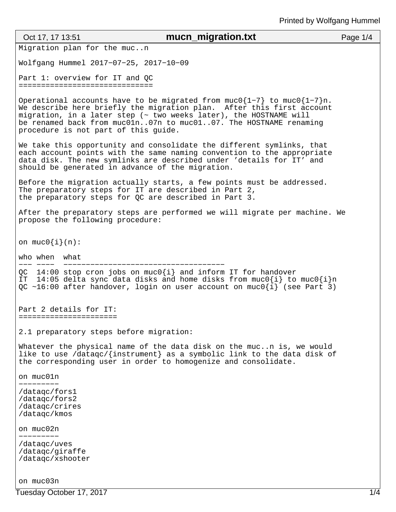| Oct 17, 17 13:51                                                                                               | mucn_migration.txt                                                                                                                                                                                                                                                                            | Page 1/4 |
|----------------------------------------------------------------------------------------------------------------|-----------------------------------------------------------------------------------------------------------------------------------------------------------------------------------------------------------------------------------------------------------------------------------------------|----------|
| Migration plan for the mucn                                                                                    |                                                                                                                                                                                                                                                                                               |          |
| Wolfgang Hummel 2017-07-25, 2017-10-09                                                                         |                                                                                                                                                                                                                                                                                               |          |
| Part 1: overview for IT and QC<br>===============================                                              |                                                                                                                                                                                                                                                                                               |          |
| procedure is not part of this guide.                                                                           | Operational accounts have to be migrated from $muc0{1-7}$ to $muc0{1-7}n$ .<br>We describe here briefly the migration plan. After this first account<br>migration, in a later step (~ two weeks later), the HOSTNAME will<br>be renamed back from muc01n07n to muc0107. The HOSTNAME renaming |          |
| should be generated in advance of the migration.                                                               | We take this opportunity and consolidate the different symlinks, that<br>each account points with the same naming convention to the appropriate<br>data disk. The new symlinks are described under 'details for IT' and                                                                       |          |
| The preparatory steps for IT are described in Part 2,<br>the preparatory steps for QC are described in Part 3. | Before the migration actually starts, a few points must be addressed.                                                                                                                                                                                                                         |          |
| propose the following procedure:                                                                               | After the preparatory steps are performed we will migrate per machine. We                                                                                                                                                                                                                     |          |
| on $mu \circ \{i\}(n)$ :                                                                                       |                                                                                                                                                                                                                                                                                               |          |
| who when<br>what                                                                                               |                                                                                                                                                                                                                                                                                               |          |
|                                                                                                                | QC 14:00 stop cron jobs on muc0 $\{i\}$ and inform IT for handover<br>IT 14:05 delta sync data disks and home disks from $mucl[i]$ to $mucl[i]n$<br>QC ~16:00 after handover, login on user account on $muc0{i}$ (see Part 3)                                                                 |          |
| Part 2 details for IT:<br>=======================                                                              |                                                                                                                                                                                                                                                                                               |          |
| 2.1 preparatory steps before migration:                                                                        |                                                                                                                                                                                                                                                                                               |          |
|                                                                                                                | Whatever the physical name of the data disk on the mucn is, we would<br>like to use /dataqc/{instrument} as a symbolic link to the data disk of<br>the corresponding user in order to homogenize and consolidate.                                                                             |          |
| on muc01n                                                                                                      |                                                                                                                                                                                                                                                                                               |          |
| /dataqc/fors1<br>/datagc/fors2<br>/datagc/crires<br>/datagc/kmos                                               |                                                                                                                                                                                                                                                                                               |          |
| on muc02n                                                                                                      |                                                                                                                                                                                                                                                                                               |          |
| /datagc/uves<br>/dataqc/giraffe<br>/dataqc/xshooter                                                            |                                                                                                                                                                                                                                                                                               |          |
| on muc03n                                                                                                      |                                                                                                                                                                                                                                                                                               |          |

Tuesday October 17, 2017 1/4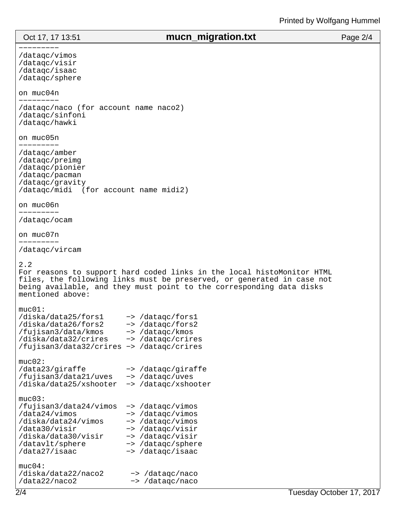## Oct 17, 17 13:51 **mucn\_migration.txt** Page 2/4

−−−−−−−−− /dataqc/vimos /dataqc/visir /dataqc/isaac /dataqc/sphere on muc04n −−−−−−−−− /dataqc/naco (for account name naco2) /dataqc/sinfoni /dataqc/hawki on muc05n −−−−−−−−− /dataqc/amber /dataqc/preimg /dataqc/pionier /dataqc/pacman /dataqc/gravity /dataqc/midi (for account name midi2) on muc06n −−−−−−−−− /dataqc/ocam on muc07n −−−−−−−−− /dataqc/vircam 2.2 For reasons to support hard coded links in the local histoMonitor HTML files, the following links must be preserved, or generated in case not being available, and they must point to the corresponding data disks mentioned above:  $muc01$ : /diska/data25/fors1 −> /dataqc/fors1 /diska/data26/fors2 −> /dataqc/fors2 /fujisan3/data/kmos −> /dataqc/kmos /diska/data32/crires −> /dataqc/crires /fujisan3/data32/crires −> /dataqc/crires muc02: /data23/giraffe −> /dataqc/giraffe /fujisan3/data21/uves −> /dataqc/uves /diska/data25/xshooter −> /dataqc/xshooter muc03: /fujisan3/data24/vimos −> /dataqc/vimos /data24/vimos −> /dataqc/vimos /diska/data24/vimos −> /dataqc/vimos /data30/visir −> /dataqc/visir /diska/data30/visir −> /dataqc/visir /datavlt/sphere −> /dataqc/sphere /data27/isaac −> /dataqc/isaac muc04: /diska/data22/naco2 −> /dataqc/naco /data22/naco2 −> /dataqc/naco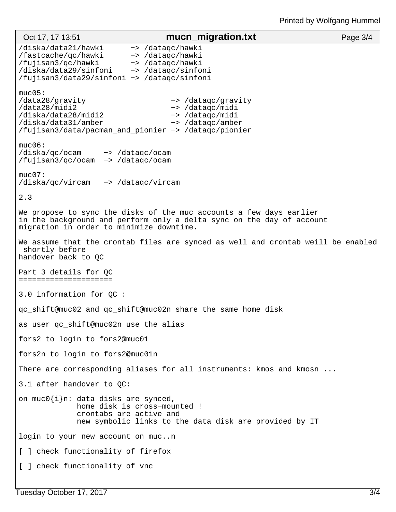| Oct 17, 17 13:51                                                                                                                         | mucn_migration.txt                                                                                                                           | Page $3/4$ |  |
|------------------------------------------------------------------------------------------------------------------------------------------|----------------------------------------------------------------------------------------------------------------------------------------------|------------|--|
| /diska/data21/hawki<br>/fastcache/qc/hawki<br>/fujisan3/qc/hawki<br>/diska/data29/sinfoni<br>/fujisan3/data29/sinfoni -> /dataqc/sinfoni | -> /dataqc/hawki<br>-> /dataqc/hawki<br>-> /dataqc/hawki<br>-> /dataqc/sinfoni                                                               |            |  |
| muc05:<br>/data28/gravity<br>/data28/midi2<br>/diska/data28/midi2<br>/diska/data31/amber                                                 | -> /dataqc/gravity<br>-> /datagc/midi<br>-> /dataqc/midi<br>-> /dataqc/amber<br>/fujisan3/data/pacman_and_pionier -> /datagc/pionier         |            |  |
| $muc06$ :<br>/diska/qc/ocam -> /dataqc/ocam<br>/fujisan3/qc/ocam -> /dataqc/ocam                                                         |                                                                                                                                              |            |  |
| $muc07$ :<br>/diska/qc/vircam -> /dataqc/vircam                                                                                          |                                                                                                                                              |            |  |
| 2.3                                                                                                                                      |                                                                                                                                              |            |  |
| migration in order to minimize downtime.                                                                                                 | We propose to sync the disks of the muc accounts a few days earlier<br>in the background and perform only a delta sync on the day of account |            |  |
| We assume that the crontab files are synced as well and crontab weill be enabled<br>shortly before<br>handover back to QC                |                                                                                                                                              |            |  |
| Part 3 details for QC<br>======================                                                                                          |                                                                                                                                              |            |  |
| 3.0 information for QC :                                                                                                                 |                                                                                                                                              |            |  |
| gc_shift@muc02 and gc_shift@muc02n share the same home disk                                                                              |                                                                                                                                              |            |  |
| as user qc_shift@muc02n use the alias                                                                                                    |                                                                                                                                              |            |  |
| fors2 to login to fors2@muc01                                                                                                            |                                                                                                                                              |            |  |
| fors2n to login to fors2@muc01n                                                                                                          |                                                                                                                                              |            |  |
|                                                                                                                                          | There are corresponding aliases for all instruments: kmos and kmosn                                                                          |            |  |
| 3.1 after handover to QC:                                                                                                                |                                                                                                                                              |            |  |
| on $mucl[i]n$ : data disks are synced,                                                                                                   | home disk is cross-mounted !<br>crontabs are active and<br>new symbolic links to the data disk are provided by IT                            |            |  |
| login to your new account on mucn                                                                                                        |                                                                                                                                              |            |  |
| [ ] check functionality of firefox                                                                                                       |                                                                                                                                              |            |  |
| [ ] check functionality of vnc                                                                                                           |                                                                                                                                              |            |  |